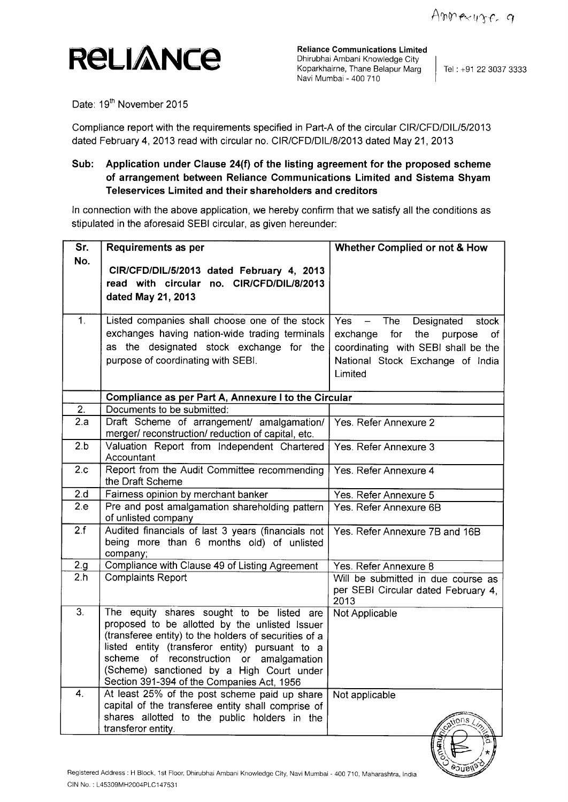

**Reliance Communications Limited** Dhirubhai Ambani Knowledge City Koparkhairne, Thane Belapur Marg Navi Mumbai - 400 710

Tel : +91 22 3037 3333

Date: 19<sup>th</sup> November 2015

**Compliance** report with the **requirements specified in** Part-A of the circular CIR/CFD/DIL/5/2013 **dated** February 4, 2013 read **with circular** no. CIR/CFD/DIL/**8/2013 dated** May 21, 2013

## **Sub: Application under Clause 24(f) of the listing agreement for the proposed scheme of arrangement between Reliance Communications Limited and Sistema Shyam Teleservices Limited and their shareholders and creditors**

In connection with the above application, we hereby confirm that we satisfy all the conditions as stipulated in the aforesaid SEBI circular, as given hereunder:

| Sr.                                                                                                                 | Requirements as per                                                                                                                                                                                                                                                                                                                            | Whether Complied or not & How                                                                                                                                                                  |  |
|---------------------------------------------------------------------------------------------------------------------|------------------------------------------------------------------------------------------------------------------------------------------------------------------------------------------------------------------------------------------------------------------------------------------------------------------------------------------------|------------------------------------------------------------------------------------------------------------------------------------------------------------------------------------------------|--|
| No.                                                                                                                 | CIR/CFD/DIL/5/2013 dated February 4, 2013<br>read with circular no. CIR/CFD/DIL/8/2013<br>dated May 21, 2013                                                                                                                                                                                                                                   |                                                                                                                                                                                                |  |
| 1.                                                                                                                  | Listed companies shall choose one of the stock<br>exchanges having nation-wide trading terminals<br>as the designated stock exchange for the<br>purpose of coordinating with SEBI.                                                                                                                                                             | The<br>Yes<br>Designated<br>$\overline{\phantom{m}}$<br>stock<br>for<br>exchange<br>the<br>purpose<br>оf<br>coordinating with SEBI shall be the<br>National Stock Exchange of India<br>Limited |  |
|                                                                                                                     | Compliance as per Part A, Annexure I to the Circular                                                                                                                                                                                                                                                                                           |                                                                                                                                                                                                |  |
| $\overline{2}$ .                                                                                                    | Documents to be submitted:                                                                                                                                                                                                                                                                                                                     |                                                                                                                                                                                                |  |
| 2.a                                                                                                                 | Draft Scheme of arrangement/ amalgamation/<br>merger/ reconstruction/ reduction of capital, etc.                                                                                                                                                                                                                                               | Yes. Refer Annexure 2                                                                                                                                                                          |  |
| 2.b                                                                                                                 | Valuation Report from Independent Chartered<br>Accountant                                                                                                                                                                                                                                                                                      | Yes. Refer Annexure 3                                                                                                                                                                          |  |
| 2.c                                                                                                                 | Report from the Audit Committee recommending<br>the Draft Scheme                                                                                                                                                                                                                                                                               | Yes. Refer Annexure 4                                                                                                                                                                          |  |
| 2.d                                                                                                                 | Fairness opinion by merchant banker                                                                                                                                                                                                                                                                                                            | Yes. Refer Annexure 5                                                                                                                                                                          |  |
| 2.e                                                                                                                 | Pre and post amalgamation shareholding pattern<br>of unlisted company                                                                                                                                                                                                                                                                          | Yes. Refer Annexure 6B                                                                                                                                                                         |  |
| 2.f                                                                                                                 | Audited financials of last 3 years (financials not<br>being more than 6 months old) of unlisted<br>company;                                                                                                                                                                                                                                    | Yes. Refer Annexure 7B and 16B                                                                                                                                                                 |  |
| 2.g.                                                                                                                | Compliance with Clause 49 of Listing Agreement                                                                                                                                                                                                                                                                                                 | Yes. Refer Annexure 8                                                                                                                                                                          |  |
| 2.h                                                                                                                 | <b>Complaints Report</b>                                                                                                                                                                                                                                                                                                                       | Will be submitted in due course as<br>per SEBI Circular dated February 4,<br>2013                                                                                                              |  |
| $\overline{3}$ .                                                                                                    | The equity shares sought to be listed are<br>proposed to be allotted by the unlisted Issuer<br>(transferee entity) to the holders of securities of a<br>listed entity (transferor entity) pursuant to a<br>scheme of reconstruction or amalgamation<br>(Scheme) sanctioned by a High Court under<br>Section 391-394 of the Companies Act, 1956 | Not Applicable                                                                                                                                                                                 |  |
| 4.                                                                                                                  | At least 25% of the post scheme paid up share<br>capital of the transferee entity shall comprise of<br>shares allotted to the public holders in the<br>transferor entity.                                                                                                                                                                      | Not applicable<br>nons                                                                                                                                                                         |  |
| Registered Address : H Block, 1st Floor, Dhirubhai Ambani Knowledge City, Navi Mumbai - 400 710, Maharashtra, India |                                                                                                                                                                                                                                                                                                                                                |                                                                                                                                                                                                |  |